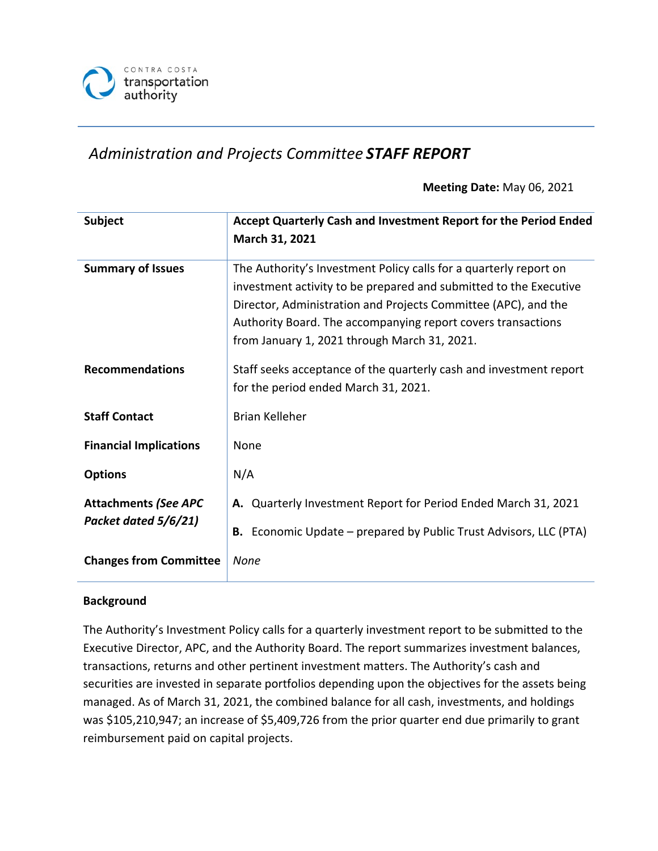# *Administration and Projects Committee STAFF REPORT*

**Meeting Date:** May 06, 2021

| <b>Subject</b>                                      | Accept Quarterly Cash and Investment Report for the Period Ended<br>March 31, 2021                                                                                                                                                                                                                                       |  |  |
|-----------------------------------------------------|--------------------------------------------------------------------------------------------------------------------------------------------------------------------------------------------------------------------------------------------------------------------------------------------------------------------------|--|--|
| <b>Summary of Issues</b>                            | The Authority's Investment Policy calls for a quarterly report on<br>investment activity to be prepared and submitted to the Executive<br>Director, Administration and Projects Committee (APC), and the<br>Authority Board. The accompanying report covers transactions<br>from January 1, 2021 through March 31, 2021. |  |  |
| <b>Recommendations</b>                              | Staff seeks acceptance of the quarterly cash and investment report<br>for the period ended March 31, 2021.                                                                                                                                                                                                               |  |  |
| <b>Staff Contact</b>                                | <b>Brian Kelleher</b>                                                                                                                                                                                                                                                                                                    |  |  |
| <b>Financial Implications</b>                       | None                                                                                                                                                                                                                                                                                                                     |  |  |
| <b>Options</b>                                      | N/A                                                                                                                                                                                                                                                                                                                      |  |  |
| <b>Attachments (See APC</b><br>Packet dated 5/6/21) | Quarterly Investment Report for Period Ended March 31, 2021<br>А.                                                                                                                                                                                                                                                        |  |  |
|                                                     | Economic Update – prepared by Public Trust Advisors, LLC (PTA)<br>В.                                                                                                                                                                                                                                                     |  |  |
| <b>Changes from Committee</b>                       | None                                                                                                                                                                                                                                                                                                                     |  |  |

#### **Background**

The Authority's Investment Policy calls for a quarterly investment report to be submitted to the Executive Director, APC, and the Authority Board. The report summarizes investment balances, transactions, returns and other pertinent investment matters. The Authority's cash and securities are invested in separate portfolios depending upon the objectives for the assets being managed. As of March 31, 2021, the combined balance for all cash, investments, and holdings was \$105,210,947; an increase of \$5,409,726 from the prior quarter end due primarily to grant reimbursement paid on capital projects.